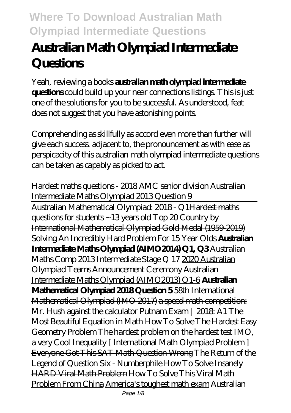# **Australian Math Olympiad Intermediate Questions**

Yeah, reviewing a books **australian math olympiad intermediate questions** could build up your near connections listings. This is just one of the solutions for you to be successful. As understood, feat does not suggest that you have astonishing points.

Comprehending as skillfully as accord even more than further will give each success. adjacent to, the pronouncement as with ease as perspicacity of this australian math olympiad intermediate questions can be taken as capably as picked to act.

Hardest maths questions - 2018 AMC senior division Australian Intermediate Maths Olympiad 2013 Question 9 Australian Mathematical Olympiad: 2018 - Q1Hardest maths questions for students ~13 years old Top 20 Country by International Mathematical Olympiad Gold Medal (1959-2019) Solving An Incredibly Hard Problem For 15 Year Olds **Australian Intermediate Maths Olympiad (AIMO2014) Q1, Q3** Australian Maths Comp 2013 Intermediate Stage Q 17 2020 Australian Olympiad Teams Announcement Ceremony Australian Intermediate Maths Olympiad (AIMO2013) Q1-6 **Australian Mathematical Olympiad 2018 Question 5** 58th International Mathematical Olympiad (IMO 2017) a speed math competition: Mr. Hush against the calculator Putnam Exam | 2018: A1 *The Most Beautiful Equation in Math How To Solve The Hardest Easy Geometry Problem The hardest problem on the hardest test IMO, a very Cool Inequality [ International Math Olympiad Problem ]* Everyone Got This SAT Math Question Wrong *The Return of the Legend of Question Six - Numberphile* How To Solve Insanely HARD Viral Math Problem How To Solve This Viral Math Problem From China America's toughest math exam *Australian*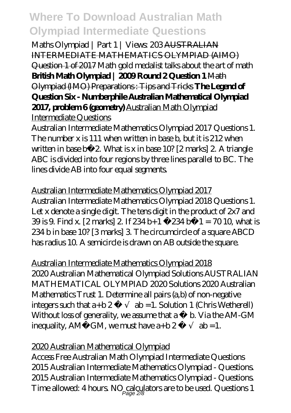*Maths Olympiad | Part 1 | Views: 203* AUSTRALIAN INTERMEDIATE MATHEMATICS OLYMPIAD (AIMO) Question 1 of 2017 *Math gold medalist talks about the art of math* **British Math Olympiad | 2009 Round 2 Question 1** Math Olympiad (IMO) Preparations : Tips and Tricks **The Legend of Question Six - Numberphile Australian Mathematical Olympiad 2017, problem 6 (geometry)** Australian Math Olympiad Intermediate Questions

Australian Intermediate Mathematics Olympiad 2017 Questions 1. The number x is 111 when written in base b, but it is 212 when written in base b−2. What is x in base 10? [2 marks] 2. A triangle ABC is divided into four regions by three lines parallel to BC. The lines divide AB into four equal segments.

Australian Intermediate Mathematics Olympiad 2017 Australian Intermediate Mathematics Olympiad 2018 Questions 1. Let x denote a single digit. The tens digit in the product of  $2x7$  and 39 is 9. Find x. [2 marks] 2. If 234 b+1 −234 b−1 = 70 10, what is 234 b in base 10? [3 marks] 3. The circumcircle of a square ABCD has radius 10. A semicircle is drawn on AB outside the square.

Australian Intermediate Mathematics Olympiad 2018 2020 Australian Mathematical Olympiad Solutions AUSTRALIAN MATHEMATICAL OLYMPIAD 2020 Solutions 2020 Australian Mathematics Trust 1. Determine all pairs (a,b) of non-negative integers such that  $a+b 2 ab = 1$ . Solution 1 (Chris Wetherell) Without  $\log$  of generality, we assume that a  $\equiv$  b. Via the AM-GM inequality, AM GM, we must have  $a+b2$   $ab = 1$ .

#### 2020 Australian Mathematical Olympiad

Access Free Australian Math Olympiad Intermediate Questions 2015 Australian Intermediate Mathematics Olympiad - Questions. 2015 Australian Intermediate Mathematics Olympiad - Questions. Time allowed:  $4\,\mathrm{hours}$  NO calculators are to be used. Questions 1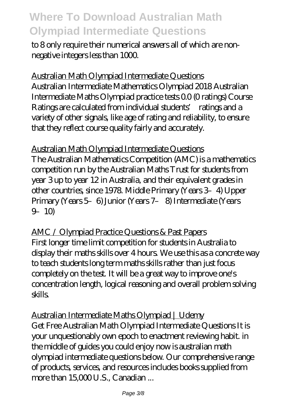to 8 only require their numerical answers all of which are nonnegative integers less than 1000.

Australian Math Olympiad Intermediate Questions Australian Intermediate Mathematics Olympiad 2018 Australian Intermediate Maths Olympiad practice tests 0.0 (0 ratings) Course Ratings are calculated from individual students' ratings and a variety of other signals, like age of rating and reliability, to ensure that they reflect course quality fairly and accurately.

Australian Math Olympiad Intermediate Questions The Australian Mathematics Competition (AMC) is a mathematics competition run by the Australian Maths Trust for students from year 3 up to year 12 in Australia, and their equivalent grades in other countries, since 1978. Middle Primary (Years 3–4) Upper Primary (Years 5–6) Junior (Years 7– 8) Intermediate (Years 9–10)

AMC / Olympiad Practice Questions & Past Papers First longer time limit competition for students in Australia to display their maths skills over 4 hours. We use this as a concrete way to teach students long term maths skills rather than just focus completely on the test. It will be a great way to improve one's concentration length, logical reasoning and overall problem solving skills.

Australian Intermediate Maths Olympiad | Udemy Get Free Australian Math Olympiad Intermediate Questions It is your unquestionably own epoch to enactment reviewing habit. in the middle of guides you could enjoy now is australian math olympiad intermediate questions below. Our comprehensive range of products, services, and resources includes books supplied from more than 15,000 U.S., Canadian ...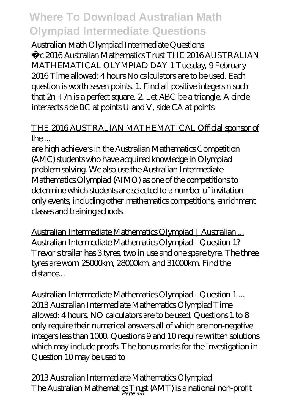#### Australian Math Olympiad Intermediate Questions

˝c 2016 Australian Mathematics Trust THE 2016 AUSTRALIAN MATHEMATICAL OLYMPIAD DAY 1 Tuesday, 9 February 2016 Time allowed: 4 hours No calculators are to be used. Each question is worth seven points. 1. Find all positive integers n such that  $2n + 7n$  is a perfect square. 2. Let ABC be a triangle. A circle intersects side BC at points U and V, side CA at points

#### THE 2016 AUSTRALIAN MATHEMATICAL Official sponsor of  $the...$

are high achievers in the Australian Mathematics Competition (AMC) students who have acquired knowledge in Olympiad problem solving. We also use the Australian Intermediate Mathematics Olympiad (AIMO) as one of the competitions to determine which students are selected to a number of invitation only events, including other mathematics competitions, enrichment classes and training schools.

Australian Intermediate Mathematics Olympiad | Australian ... Australian Intermediate Mathematics Olympiad - Question 1? Trevor's trailer has 3 tyres, two in use and one spare tyre. The three tyres are worn 25000km, 28000km, and 31000km. Find the distance

Australian Intermediate Mathematics Olympiad - Question 1 ... 2013 Australian Intermediate Mathematics Olympiad Time allowed: 4 hours. NO calculators are to be used. Questions 1 to 8 only require their numerical answers all of which are non-negative integers less than 1000. Questions 9 and 10 require written solutions which may include proofs. The bonus marks for the Investigation in Question 10 may be used to

2013 Australian Intermediate Mathematics Olympiad The Australian Mathematics Trust (AMT) is a national non-profit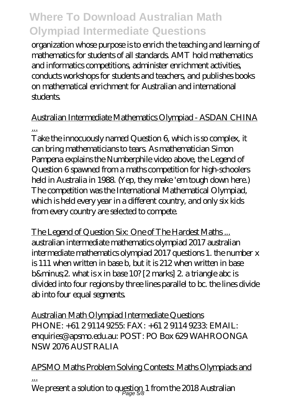organization whose purpose is to enrich the teaching and learning of mathematics for students of all standards. AMT hold mathematics and informatics competitions, administer enrichment activities, conducts workshops for students and teachers, and publishes books on mathematical enrichment for Australian and international students.

#### Australian Intermediate Mathematics Olympiad - ASDAN CHINA ...

Take the innocuously named Question 6, which is so complex, it can bring mathematicians to tears. As mathematician Simon Pampena explains the Numberphile video above, the Legend of Question 6 spawned from a maths competition for high-schoolers held in Australia in 1988. (Yep, they make 'em tough down here.) The competition was the International Mathematical Olympiad, which is held every year in a different country, and only six kids from every country are selected to compete.

The Legend of Question Six: One of The Hardest Maths ... australian intermediate mathematics olympiad 2017 australian intermediate mathematics olympiad 2017 questions 1. the number x is 111 when written in base b, but it is 212 when written in base b&minus2 what is x in base 10? [2 marks] 2 a triangle abc is divided into four regions by three lines parallel to bc. the lines divide ab into four equal segments.

Australian Math Olympiad Intermediate Questions PHONE: +61 2 9114 9255: FAX: +61 2 9114 9233: EMAIL: enquiries@apsmo.edu.au: POST: PO Box 629 WAHROONGA NSW 2076 AUSTRALIA

#### APSMO Maths Problem Solving Contests: Maths Olympiads and ...

We present a solution to question 1 from the 2018 Australian  $\frac{1}{\text{Page 58}}$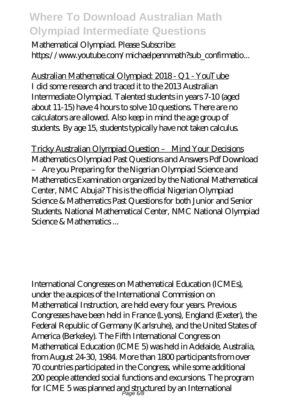Mathematical Olympiad. Please Subscribe: https://www.youtube.com/michaelpennmath?sub\_confirmatio...

Australian Mathematical Olympiad: 2018 - Q1 - YouTube I did some research and traced it to the 2013 Australian Intermediate Olympiad. Talented students in years 7-10 (aged about 11-15) have 4 hours to solve 10 questions. There are no calculators are allowed. Also keep in mind the age group of students. By age 15, students typically have not taken calculus.

Tricky Australian Olympiad Question – Mind Your Decisions Mathematics Olympiad Past Questions and Answers Pdf Download – Are you Preparing for the Nigerian Olympiad Science and Mathematics Examination organized by the National Mathematical Center, NMC Abuja? This is the official Nigerian Olympiad Science & Mathematics Past Questions for both Junior and Senior Students. National Mathematical Center, NMC National Olympiad Science & Mathematics ...

International Congresses on Mathematical Education (ICMEs), under the auspices of the International Commission on Mathematical Instruction, are held every four years. Previous Congresses have been held in France (Lyons), England (Exeter), the Federal Republic of Germany (Karlsruhe), and the United States of America (Berkeley). The Fifth International Congress on Mathematical Education (lCME 5) was held in Adelaide, Australia, from August 24-30, 1984. More than 1800 participants from over 70 countries participated in the Congress, while some additional 200 people attended social functions and excursions. The program for ICME 5 was planned and structured by an International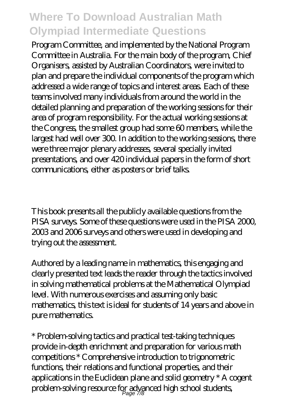Program Committee, and implemented by the National Program Committee in Australia. For the main body of the program, Chief Organisers, assisted by Australian Coordinators, were invited to plan and prepare the individual components of the program which addressed a wide range of topics and interest areas. Each of these teams involved many individuals from around the world in the detailed planning and preparation of the working sessions for their area of program responsibility. For the actual working sessions at the Congress, the smallest group had some 60 members, while the largest had well over 300. In addition to the working sessions, there were three major plenary addresses, several specially invited presentations, and over 420 individual papers in the form of short communications, either as posters or brief talks.

This book presents all the publicly available questions from the PISA surveys. Some of these questions were used in the PISA 2000, 2003 and 2006 surveys and others were used in developing and trying out the assessment.

Authored by a leading name in mathematics, this engaging and clearly presented text leads the reader through the tactics involved in solving mathematical problems at the Mathematical Olympiad level. With numerous exercises and assuming only basic mathematics, this text is ideal for students of 14 years and above in pure mathematics.

\* Problem-solving tactics and practical test-taking techniques provide in-depth enrichment and preparation for various math competitions \* Comprehensive introduction to trigonometric functions, their relations and functional properties, and their applications in the Euclidean plane and solid geometry \* A cogent problem-solving resource for advanced high school students,